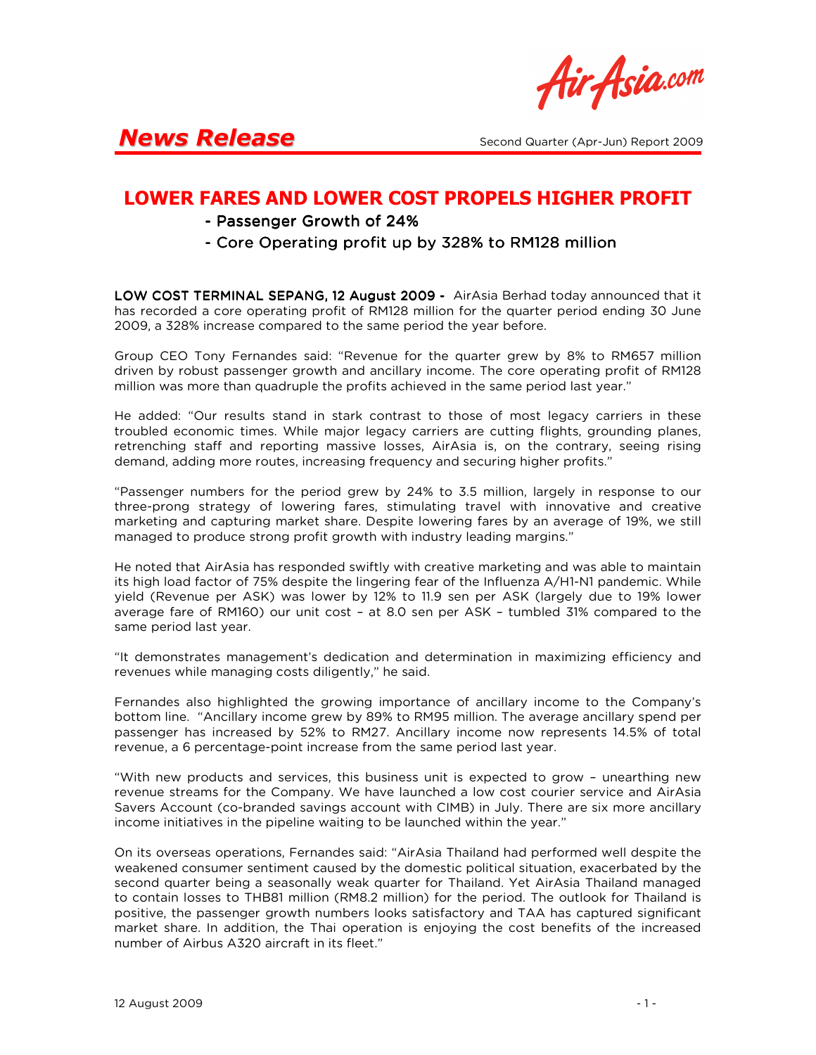Air Asia.com

### LOWER FARES AND LOWER COST PROPELS HIGHER PROFIT

- Passenger Growth of 24%
- Core Operating profit up by 328% to RM128 million

LOW COST TERMINAL SEPANG, 12 August 2009 - AirAsia Berhad today announced that it has recorded a core operating profit of RM128 million for the quarter period ending 30 June 2009, a 328% increase compared to the same period the year before.

Group CEO Tony Fernandes said: "Revenue for the quarter grew by 8% to RM657 million driven by robust passenger growth and ancillary income. The core operating profit of RM128 million was more than quadruple the profits achieved in the same period last year."

He added: "Our results stand in stark contrast to those of most legacy carriers in these troubled economic times. While major legacy carriers are cutting flights, grounding planes, retrenching staff and reporting massive losses, AirAsia is, on the contrary, seeing rising demand, adding more routes, increasing frequency and securing higher profits."

"Passenger numbers for the period grew by 24% to 3.5 million, largely in response to our three-prong strategy of lowering fares, stimulating travel with innovative and creative marketing and capturing market share. Despite lowering fares by an average of 19%, we still managed to produce strong profit growth with industry leading margins."

He noted that AirAsia has responded swiftly with creative marketing and was able to maintain its high load factor of 75% despite the lingering fear of the Influenza A/H1-N1 pandemic. While yield (Revenue per ASK) was lower by 12% to 11.9 sen per ASK (largely due to 19% lower average fare of RM160) our unit cost – at 8.0 sen per ASK – tumbled 31% compared to the same period last year.

"It demonstrates management's dedication and determination in maximizing efficiency and revenues while managing costs diligently," he said.

Fernandes also highlighted the growing importance of ancillary income to the Company's bottom line. "Ancillary income grew by 89% to RM95 million. The average ancillary spend per passenger has increased by 52% to RM27. Ancillary income now represents 14.5% of total revenue, a 6 percentage-point increase from the same period last year.

"With new products and services, this business unit is expected to grow – unearthing new revenue streams for the Company. We have launched a low cost courier service and AirAsia Savers Account (co-branded savings account with CIMB) in July. There are six more ancillary income initiatives in the pipeline waiting to be launched within the year."

On its overseas operations, Fernandes said: "AirAsia Thailand had performed well despite the weakened consumer sentiment caused by the domestic political situation, exacerbated by the second quarter being a seasonally weak quarter for Thailand. Yet AirAsia Thailand managed to contain losses to THB81 million (RM8.2 million) for the period. The outlook for Thailand is positive, the passenger growth numbers looks satisfactory and TAA has captured significant market share. In addition, the Thai operation is enjoying the cost benefits of the increased number of Airbus A320 aircraft in its fleet."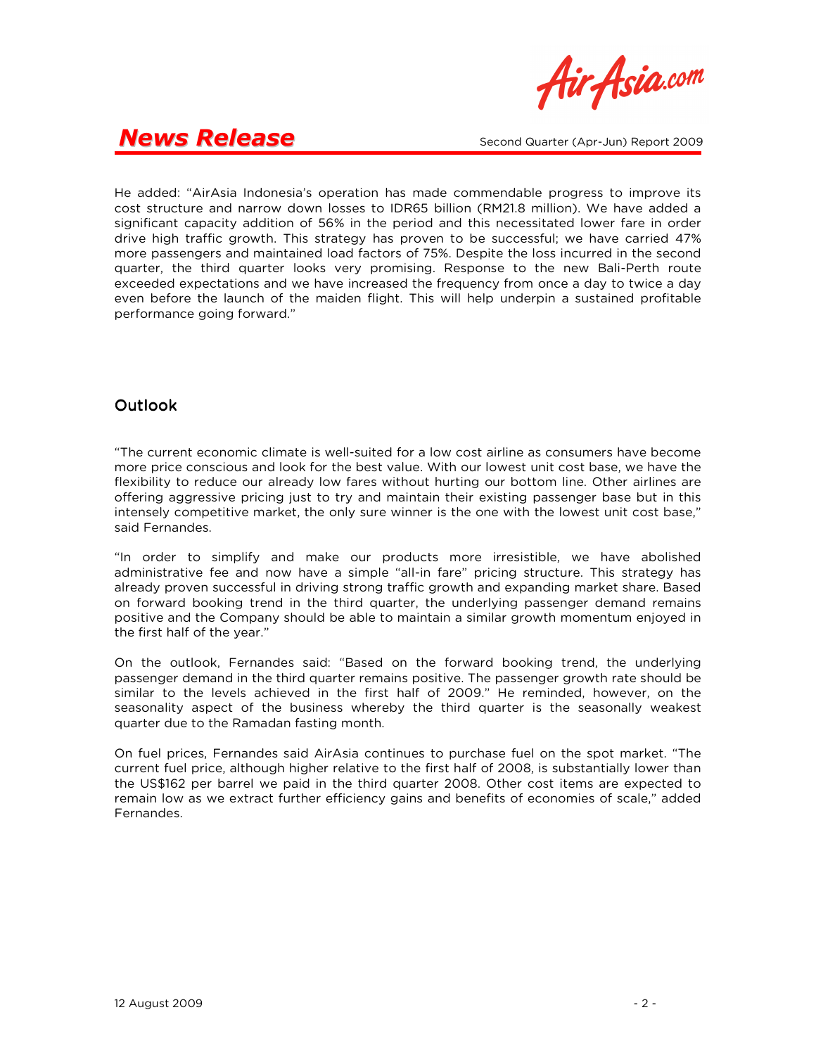

He added: "AirAsia Indonesia's operation has made commendable progress to improve its cost structure and narrow down losses to IDR65 billion (RM21.8 million). We have added a significant capacity addition of 56% in the period and this necessitated lower fare in order drive high traffic growth. This strategy has proven to be successful; we have carried 47% more passengers and maintained load factors of 75%. Despite the loss incurred in the second quarter, the third quarter looks very promising. Response to the new Bali-Perth route exceeded expectations and we have increased the frequency from once a day to twice a day even before the launch of the maiden flight. This will help underpin a sustained profitable performance going forward."

#### **Outlook**

"The current economic climate is well-suited for a low cost airline as consumers have become more price conscious and look for the best value. With our lowest unit cost base, we have the flexibility to reduce our already low fares without hurting our bottom line. Other airlines are offering aggressive pricing just to try and maintain their existing passenger base but in this intensely competitive market, the only sure winner is the one with the lowest unit cost base," said Fernandes.

"In order to simplify and make our products more irresistible, we have abolished administrative fee and now have a simple "all-in fare" pricing structure. This strategy has already proven successful in driving strong traffic growth and expanding market share. Based on forward booking trend in the third quarter, the underlying passenger demand remains positive and the Company should be able to maintain a similar growth momentum enjoyed in the first half of the year."

On the outlook, Fernandes said: "Based on the forward booking trend, the underlying passenger demand in the third quarter remains positive. The passenger growth rate should be similar to the levels achieved in the first half of 2009." He reminded, however, on the seasonality aspect of the business whereby the third quarter is the seasonally weakest quarter due to the Ramadan fasting month.

On fuel prices, Fernandes said AirAsia continues to purchase fuel on the spot market. "The current fuel price, although higher relative to the first half of 2008, is substantially lower than the US\$162 per barrel we paid in the third quarter 2008. Other cost items are expected to remain low as we extract further efficiency gains and benefits of economies of scale," added Fernandes.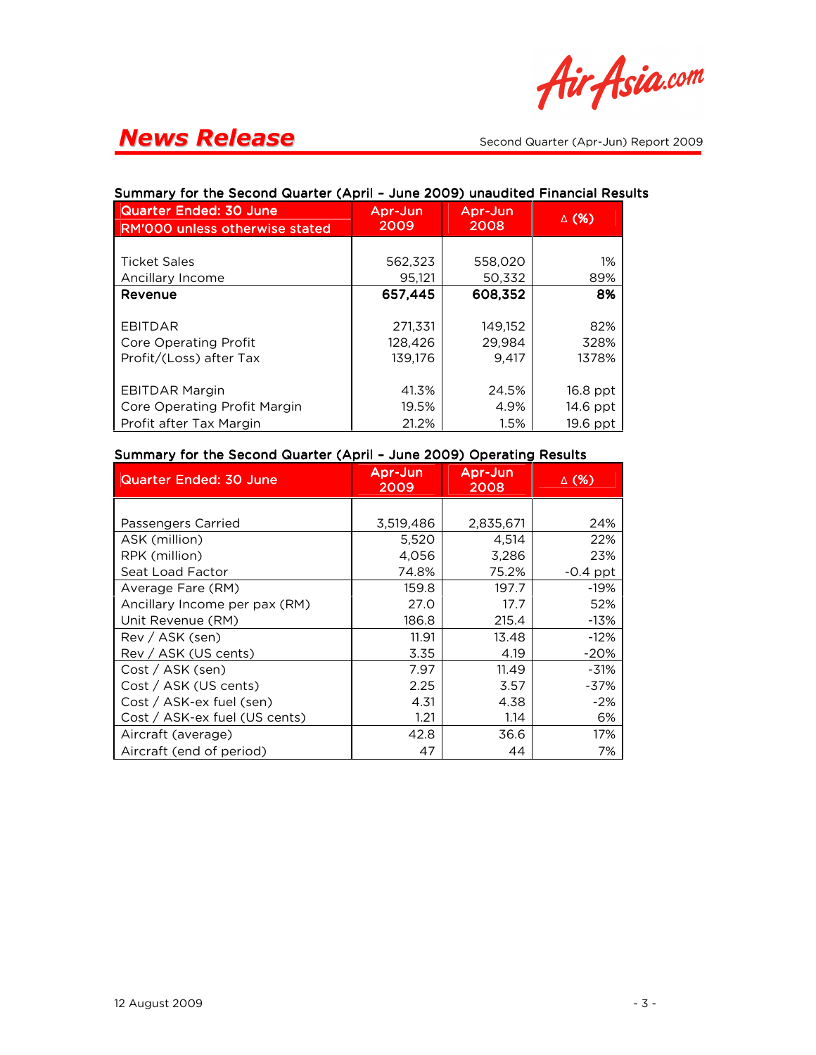

#### Quarter Ended: 30 June RM'000 unless otherwise stated Apr-Jun 2009 Apr-Jun 2008 ∆ (%) Ticket Sales **1888 1888 1888 1988 1988 1988 1988 1988 1988 1988** Ancillary Income  $\begin{array}{|c|c|c|c|c|c|c|c|} \hline \text{Ancillary Income} & \text{B9\%} \hline \end{array}$ Revenue Revenue 657,445 657,445 657,445 608,352 608,352 608,352 8% EBITDAR 271,331 149,152 82% Core Operating Profit | 128,426 | 29,984 | 328% Profit/(Loss) after Tax 139,176 9,417 | 1378% EBITDAR Margin 41.3% 24.5% 16.8 ppt Core Operating Profit Margin | 19.5% | 4.9% | 14.6 ppt Profit after Tax Margin 1.5% 1.5% 19.6 ppt

#### Summary for the Second Quarter (April - June 2009) unaudited Financial Results

#### Summary for the Second Quarter (April - June 2009) Operating Results

| <b>Quarter Ended: 30 June</b> | Apr-Jun<br>2009 | Apr-Jun<br>2008 | ∆ (%)      |
|-------------------------------|-----------------|-----------------|------------|
|                               |                 |                 |            |
| Passengers Carried            | 3,519,486       | 2,835,671       | 24%        |
| ASK (million)                 | 5,520           | 4,514           | 22%        |
| RPK (million)                 | 4,056           | 3,286           | 23%        |
| Seat Load Factor              | 74.8%           | 75.2%           | $-0.4$ ppt |
| Average Fare (RM)             | 159.8           | 197.7           | -19%       |
| Ancillary Income per pax (RM) | 27.0            | 17.7            | 52%        |
| Unit Revenue (RM)             | 186.8           | 215.4           | $-13%$     |
| $Rev / ASK$ (sen)             | 11.91           | 13.48           | $-12%$     |
| Rev / ASK (US cents)          | 3.35            | 4.19            | -20%       |
| Cost / ASK (sen)              | 7.97            | 11.49           | $-31%$     |
| Cost / ASK (US cents)         | 2.25            | 3.57            | $-37%$     |
| Cost / ASK-ex fuel (sen)      | 4.31            | 4.38            | $-2%$      |
| Cost / ASK-ex fuel (US cents) | 1.21            | 1.14            | 6%         |
| Aircraft (average)            | 42.8            | 36.6            | 17%        |
| Aircraft (end of period)      | 47              | 44              | 7%         |